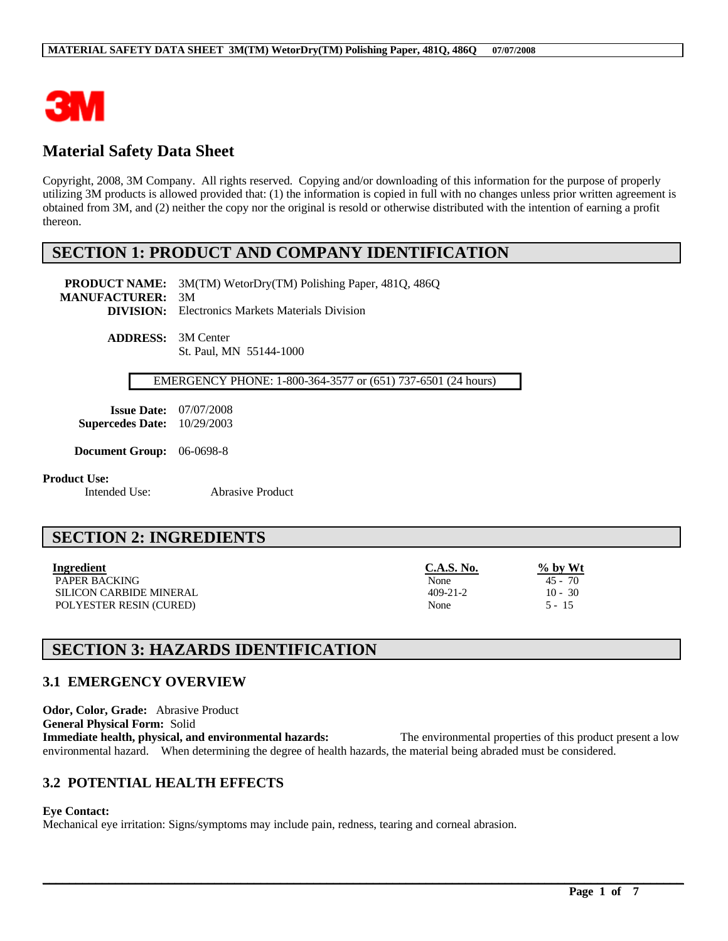

# **Material Safety Data Sheet**

Copyright, 2008, 3M Company. All rights reserved. Copying and/or downloading of this information for the purpose of properly utilizing 3M products is allowed provided that: (1) the information is copied in full with no changes unless prior written agreement is obtained from 3M, and (2) neither the copy nor the original is resold or otherwise distributed with the intention of earning a profit thereon.

# **SECTION 1: PRODUCT AND COMPANY IDENTIFICATION**

**PRODUCT NAME:** 3M(TM) WetorDry(TM) Polishing Paper, 481Q, 486Q **MANUFACTURER:** 3M **DIVISION:** Electronics Markets Materials Division

> **ADDRESS:** 3M Center St. Paul, MN 55144-1000

#### EMERGENCY PHONE: 1-800-364-3577 or (651) 737-6501 (24 hours)

**Issue Date:** 07/07/2008 **Supercedes Date:** 10/29/2003

**Document Group:** 06-0698-8

**Product Use:**<br>Intended Use:

Abrasive Product

# **SECTION 2: INGREDIENTS**

| <b>Ingredient</b> | C.A.S. No. | $\%$ by Wt |
|-------------------|------------|------------|
|                   |            |            |

PAPER BACKING 45 - 70 SILICON CARBIDE MINERAL 10 - 30 POLYESTER RESIN (CURED) None 5 - 15

# **SECTION 3: HAZARDS IDENTIFICATION**

### **3.1 EMERGENCY OVERVIEW**

**Odor, Color, Grade:** Abrasive Product **General Physical Form:** Solid **Immediate health, physical, and environmental hazards:** The environmental properties of this product present a low environmental hazard. When determining the degree of health hazards, the material being abraded must be considered.

 $\mathcal{L}_\mathcal{L} = \mathcal{L}_\mathcal{L} = \mathcal{L}_\mathcal{L} = \mathcal{L}_\mathcal{L} = \mathcal{L}_\mathcal{L} = \mathcal{L}_\mathcal{L} = \mathcal{L}_\mathcal{L} = \mathcal{L}_\mathcal{L} = \mathcal{L}_\mathcal{L} = \mathcal{L}_\mathcal{L} = \mathcal{L}_\mathcal{L} = \mathcal{L}_\mathcal{L} = \mathcal{L}_\mathcal{L} = \mathcal{L}_\mathcal{L} = \mathcal{L}_\mathcal{L} = \mathcal{L}_\mathcal{L} = \mathcal{L}_\mathcal{L}$ 

### **3.2 POTENTIAL HEALTH EFFECTS**

### **Eye Contact:**

Mechanical eye irritation: Signs/symptoms may include pain, redness, tearing and corneal abrasion.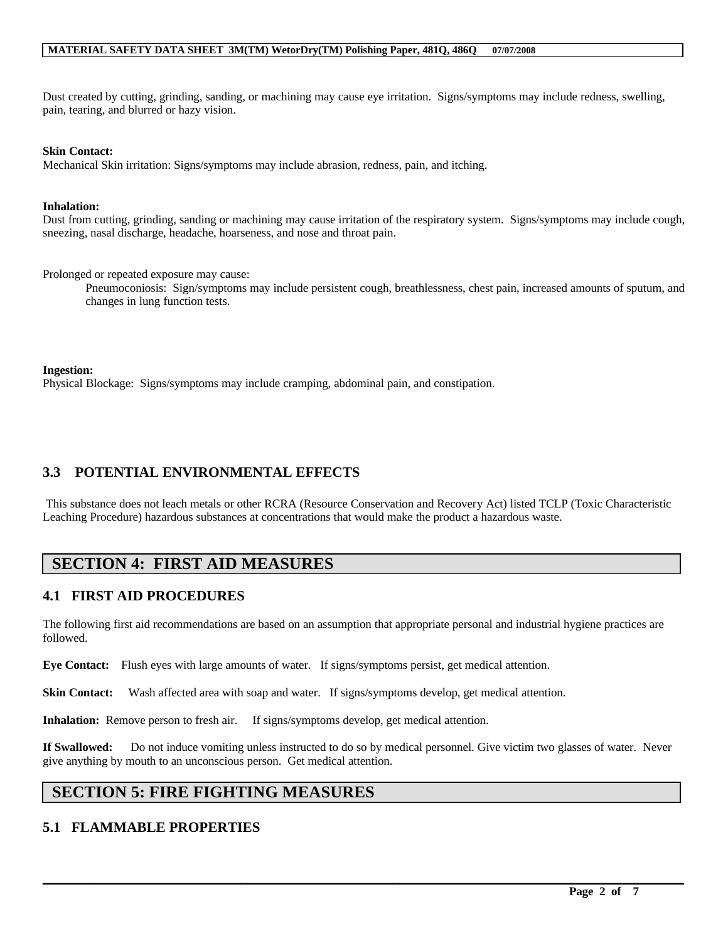Dust created by cutting, grinding, sanding, or machining may cause eye irritation. Signs/symptoms may include redness, swelling, pain, tearing, and blurred or hazy vision.

#### **Skin Contact:**

Mechanical Skin irritation: Signs/symptoms may include abrasion, redness, pain, and itching.

#### **Inhalation:**

Dust from cutting, grinding, sanding or machining may cause irritation of the respiratory system. Signs/symptoms may include cough, sneezing, nasal discharge, headache, hoarseness, and nose and throat pain.

Prolonged or repeated exposure may cause:

Pneumoconiosis: Sign/symptoms may include persistent cough, breathlessness, chest pain, increased amounts of sputum, and changes in lung function tests.

#### **Ingestion:**

Physical Blockage: Signs/symptoms may include cramping, abdominal pain, and constipation.

### **3.3 POTENTIAL ENVIRONMENTAL EFFECTS**

This substance does not leach metals or other RCRA (Resource Conservation and Recovery Act) listed TCLP (Toxic Characteristic Leaching Procedure) hazardous substances at concentrations that would make the product a hazardous waste.

# **SECTION 4: FIRST AID MEASURES**

### **4.1 FIRST AID PROCEDURES**

The following first aid recommendations are based on an assumption that appropriate personal and industrial hygiene practices are followed.

**Eye Contact:** Flush eyes with large amounts of water. If signs/symptoms persist, get medical attention.

**Skin Contact:** Wash affected area with soap and water. If signs/symptoms develop, get medical attention.

**Inhalation:** Remove person to fresh air. If signs/symptoms develop, get medical attention.

**If Swallowed:** Do not induce vomiting unless instructed to do so by medical personnel. Give victim two glasses of water. Never give anything by mouth to an unconscious person. Get medical attention.

 $\mathcal{L}_\mathcal{L} = \mathcal{L}_\mathcal{L} = \mathcal{L}_\mathcal{L} = \mathcal{L}_\mathcal{L} = \mathcal{L}_\mathcal{L} = \mathcal{L}_\mathcal{L} = \mathcal{L}_\mathcal{L} = \mathcal{L}_\mathcal{L} = \mathcal{L}_\mathcal{L} = \mathcal{L}_\mathcal{L} = \mathcal{L}_\mathcal{L} = \mathcal{L}_\mathcal{L} = \mathcal{L}_\mathcal{L} = \mathcal{L}_\mathcal{L} = \mathcal{L}_\mathcal{L} = \mathcal{L}_\mathcal{L} = \mathcal{L}_\mathcal{L}$ 

# **SECTION 5: FIRE FIGHTING MEASURES**

### **5.1 FLAMMABLE PROPERTIES**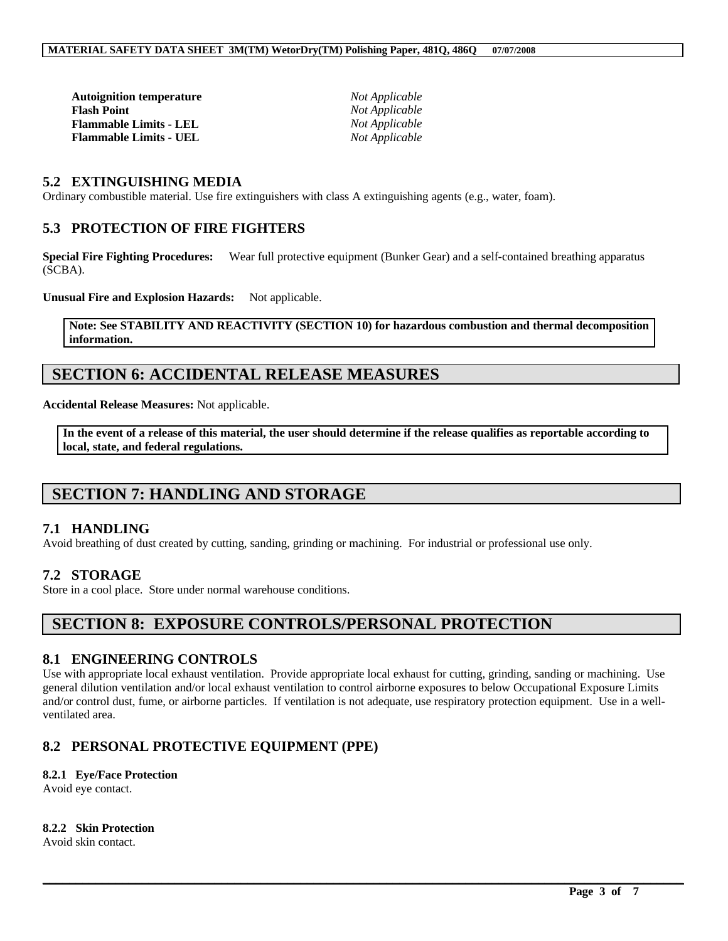| <b>Autoignition temperature</b> |  |
|---------------------------------|--|
| <b>Flash Point</b>              |  |
| <b>Flammable Limits - LEL</b>   |  |
| <b>Flammable Limits - UEL</b>   |  |

*Not Applicable*  $Not Applicable$  $Not Applicable$  $Not Applicable$ 

### **5.2 EXTINGUISHING MEDIA**

Ordinary combustible material. Use fire extinguishers with class A extinguishing agents (e.g., water, foam).

### **5.3 PROTECTION OF FIRE FIGHTERS**

**Special Fire Fighting Procedures:** Wear full protective equipment (Bunker Gear) and a self-contained breathing apparatus (SCBA).

**Unusual Fire and Explosion Hazards:** Not applicable.

#### **Note: See STABILITY AND REACTIVITY (SECTION 10) for hazardous combustion and thermal decomposition information.**

# **SECTION 6: ACCIDENTAL RELEASE MEASURES**

**Accidental Release Measures:** Not applicable.

**In the event of a release of this material, the user should determine if the release qualifies as reportable according to local, state, and federal regulations.**

# **SECTION 7: HANDLING AND STORAGE**

### **7.1 HANDLING**

Avoid breathing of dust created by cutting, sanding, grinding or machining. For industrial or professional use only.

### **7.2 STORAGE**

Store in a cool place. Store under normal warehouse conditions.

# **SECTION 8: EXPOSURE CONTROLS/PERSONAL PROTECTION**

### **8.1 ENGINEERING CONTROLS**

Use with appropriate local exhaust ventilation. Provide appropriate local exhaust for cutting, grinding, sanding or machining. Use general dilution ventilation and/or local exhaust ventilation to control airborne exposures to below Occupational Exposure Limits and/or control dust, fume, or airborne particles. If ventilation is not adequate, use respiratory protection equipment. Use in a wellventilated area.

 $\mathcal{L}_\mathcal{L} = \mathcal{L}_\mathcal{L} = \mathcal{L}_\mathcal{L} = \mathcal{L}_\mathcal{L} = \mathcal{L}_\mathcal{L} = \mathcal{L}_\mathcal{L} = \mathcal{L}_\mathcal{L} = \mathcal{L}_\mathcal{L} = \mathcal{L}_\mathcal{L} = \mathcal{L}_\mathcal{L} = \mathcal{L}_\mathcal{L} = \mathcal{L}_\mathcal{L} = \mathcal{L}_\mathcal{L} = \mathcal{L}_\mathcal{L} = \mathcal{L}_\mathcal{L} = \mathcal{L}_\mathcal{L} = \mathcal{L}_\mathcal{L}$ 

### **8.2 PERSONAL PROTECTIVE EQUIPMENT (PPE)**

### **8.2.1 Eye/Face Protection**

Avoid eye contact.

#### **8.2.2 Skin Protection**

Avoid skin contact.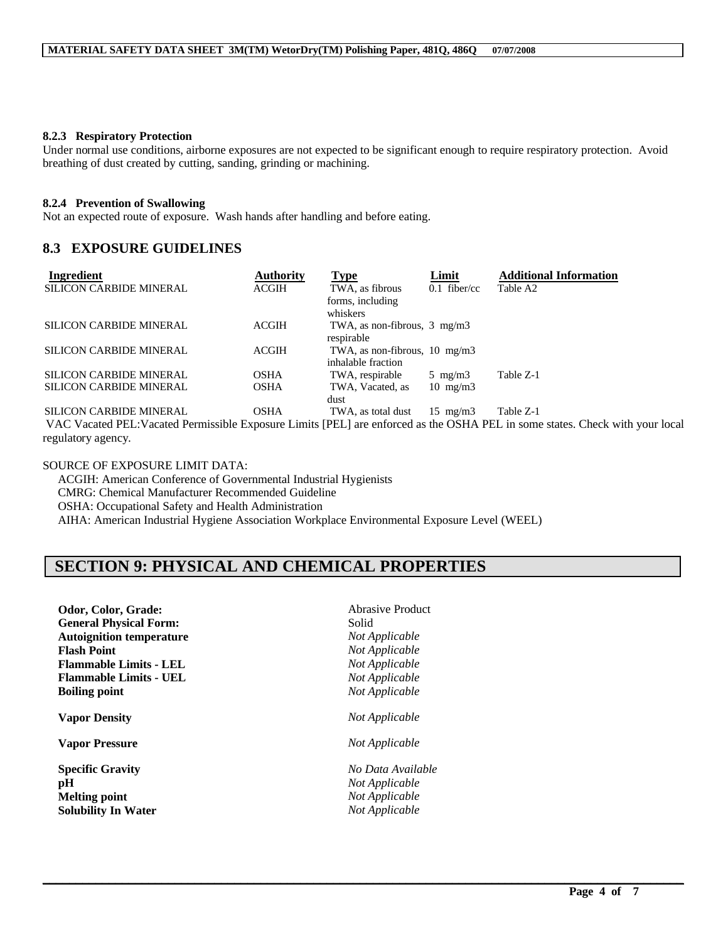#### **8.2.3 Respiratory Protection**

Under normal use conditions, airborne exposures are not expected to be significant enough to require respiratory protection. Avoid breathing of dust created by cutting, sanding, grinding or machining.

#### **8.2.4 Prevention of Swallowing**

Not an expected route of exposure. Wash hands after handling and before eating.

### **8.3 EXPOSURE GUIDELINES**

| <b>Ingredient</b>              | Authority    | <b>Type</b>                              | Limit             | <b>Additional Information</b> |
|--------------------------------|--------------|------------------------------------------|-------------------|-------------------------------|
| <b>SILICON CARBIDE MINERAL</b> | <b>ACGIH</b> | TWA, as fibrous                          | $0.1$ fiber/cc    | Table A2                      |
|                                |              | forms, including                         |                   |                               |
|                                |              | whiskers                                 |                   |                               |
| <b>SILICON CARBIDE MINERAL</b> | ACGIH        | TWA, as non-fibrous, $3 \text{ mg/m}$    |                   |                               |
|                                |              | respirable                               |                   |                               |
| <b>SILICON CARBIDE MINERAL</b> | <b>ACGIH</b> | TWA, as non-fibrous, $10 \text{ mg/m}$ 3 |                   |                               |
|                                |              | inhalable fraction                       |                   |                               |
| <b>SILICON CARBIDE MINERAL</b> | OSHA         | TWA, respirable                          | 5 mg/m $3$        | Table Z-1                     |
| SILICON CARBIDE MINERAL        | OSHA         | TWA, Vacated, as                         | $10 \text{ mg/m}$ |                               |
|                                |              | dust                                     |                   |                               |
| <b>SILICON CARBIDE MINERAL</b> | OSHA         | TWA, as total dust                       | $15 \text{ mg/m}$ | Table Z-1                     |

VAC Vacated PEL:Vacated Permissible Exposure Limits [PEL] are enforced as the OSHA PEL in some states. Check with your local regulatory agency.

 $\mathcal{L}_\mathcal{L} = \mathcal{L}_\mathcal{L} = \mathcal{L}_\mathcal{L} = \mathcal{L}_\mathcal{L} = \mathcal{L}_\mathcal{L} = \mathcal{L}_\mathcal{L} = \mathcal{L}_\mathcal{L} = \mathcal{L}_\mathcal{L} = \mathcal{L}_\mathcal{L} = \mathcal{L}_\mathcal{L} = \mathcal{L}_\mathcal{L} = \mathcal{L}_\mathcal{L} = \mathcal{L}_\mathcal{L} = \mathcal{L}_\mathcal{L} = \mathcal{L}_\mathcal{L} = \mathcal{L}_\mathcal{L} = \mathcal{L}_\mathcal{L}$ 

SOURCE OF EXPOSURE LIMIT DATA: ACGIH: American Conference of Governmental Industrial Hygienists CMRG: Chemical Manufacturer Recommended Guideline OSHA: Occupational Safety and Health Administration AIHA: American Industrial Hygiene Association Workplace Environmental Exposure Level (WEEL)

# **SECTION 9: PHYSICAL AND CHEMICAL PROPERTIES**

| Odor, Color, Grade:             | Abrasive Product  |
|---------------------------------|-------------------|
| <b>General Physical Form:</b>   | Solid             |
| <b>Autoignition temperature</b> | Not Applicable    |
| <b>Flash Point</b>              | Not Applicable    |
| <b>Flammable Limits - LEL</b>   | Not Applicable    |
| <b>Flammable Limits - UEL</b>   | Not Applicable    |
| <b>Boiling point</b>            | Not Applicable    |
| <b>Vapor Density</b>            | Not Applicable    |
| <b>Vapor Pressure</b>           | Not Applicable    |
| <b>Specific Gravity</b>         | No Data Available |
| pH                              | Not Applicable    |
| <b>Melting point</b>            | Not Applicable    |
| <b>Solubility In Water</b>      | Not Applicable    |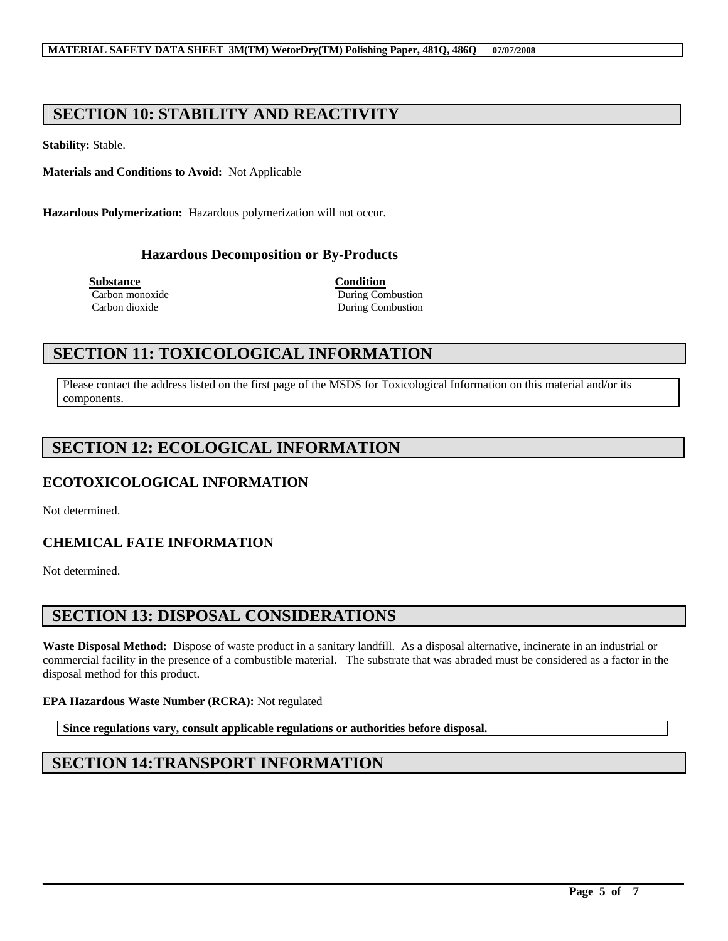# **SECTION 10: STABILITY AND REACTIVITY**

**Stability:** Stable.

**Materials and Conditions to Avoid:** Not Applicable

**Hazardous Polymerization:** Hazardous polymerization will not occur.

### **Hazardous Decomposition or By-Products**

**Substance Condition**

Carbon monoxide During Combustion Carbon dioxide During Combustion

# **SECTION 11: TOXICOLOGICAL INFORMATION**

Please contact the address listed on the first page of the MSDS for Toxicological Information on this material and/or its components.

# **SECTION 12: ECOLOGICAL INFORMATION**

### **ECOTOXICOLOGICAL INFORMATION**

Not determined.

### **CHEMICAL FATE INFORMATION**

Not determined.

# **SECTION 13: DISPOSAL CONSIDERATIONS**

**Waste Disposal Method:** Dispose of waste product in a sanitary landfill. As a disposal alternative, incinerate in an industrial or commercial facility in the presence of a combustible material. The substrate that was abraded must be considered as a factor in the disposal method for this product.

 $\mathcal{L}_\mathcal{L} = \mathcal{L}_\mathcal{L} = \mathcal{L}_\mathcal{L} = \mathcal{L}_\mathcal{L} = \mathcal{L}_\mathcal{L} = \mathcal{L}_\mathcal{L} = \mathcal{L}_\mathcal{L} = \mathcal{L}_\mathcal{L} = \mathcal{L}_\mathcal{L} = \mathcal{L}_\mathcal{L} = \mathcal{L}_\mathcal{L} = \mathcal{L}_\mathcal{L} = \mathcal{L}_\mathcal{L} = \mathcal{L}_\mathcal{L} = \mathcal{L}_\mathcal{L} = \mathcal{L}_\mathcal{L} = \mathcal{L}_\mathcal{L}$ 

### **EPA Hazardous Waste Number (RCRA):** Not regulated

**Since regulations vary, consult applicable regulations or authorities before disposal.**

# **SECTION 14:TRANSPORT INFORMATION**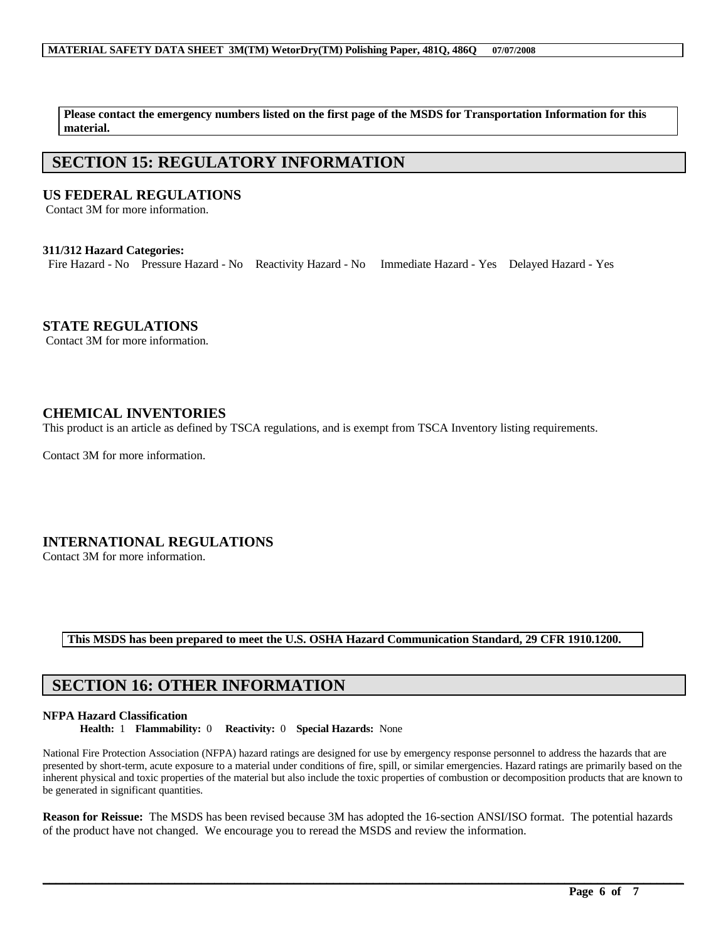**Please contact the emergency numbers listed on the first page of the MSDS for Transportation Information for this material.**

# **SECTION 15: REGULATORY INFORMATION**

### **US FEDERAL REGULATIONS**

Contact 3M for more information.

#### **311/312 Hazard Categories:**

Fire Hazard - No Pressure Hazard - No Reactivity Hazard - No Immediate Hazard - Yes Delayed Hazard - Yes

### **STATE REGULATIONS**

Contact 3M for more information.

### **CHEMICAL INVENTORIES**

This product is an article as defined by TSCA regulations, and is exempt from TSCA Inventory listing requirements.

Contact 3M for more information.

### **INTERNATIONAL REGULATIONS**

Contact 3M for more information.

### **This MSDS has been prepared to meet the U.S. OSHA Hazard Communication Standard, 29 CFR 1910.1200.**

# **SECTION 16: OTHER INFORMATION**

#### **NFPA Hazard Classification**

**Health:** 1 **Flammability:** 0 **Reactivity:** 0 **Special Hazards:** None

National Fire Protection Association (NFPA) hazard ratings are designed for use by emergency response personnel to address the hazards that are presented by short-term, acute exposure to a material under conditions of fire, spill, or similar emergencies. Hazard ratings are primarily based on the inherent physical and toxic properties of the material but also include the toxic properties of combustion or decomposition products that are known to be generated in significant quantities.

**Reason for Reissue:** The MSDS has been revised because 3M has adopted the 16-section ANSI/ISO format. The potential hazards of the product have not changed. We encourage you to reread the MSDS and review the information.

 $\mathcal{L}_\mathcal{L} = \mathcal{L}_\mathcal{L} = \mathcal{L}_\mathcal{L} = \mathcal{L}_\mathcal{L} = \mathcal{L}_\mathcal{L} = \mathcal{L}_\mathcal{L} = \mathcal{L}_\mathcal{L} = \mathcal{L}_\mathcal{L} = \mathcal{L}_\mathcal{L} = \mathcal{L}_\mathcal{L} = \mathcal{L}_\mathcal{L} = \mathcal{L}_\mathcal{L} = \mathcal{L}_\mathcal{L} = \mathcal{L}_\mathcal{L} = \mathcal{L}_\mathcal{L} = \mathcal{L}_\mathcal{L} = \mathcal{L}_\mathcal{L}$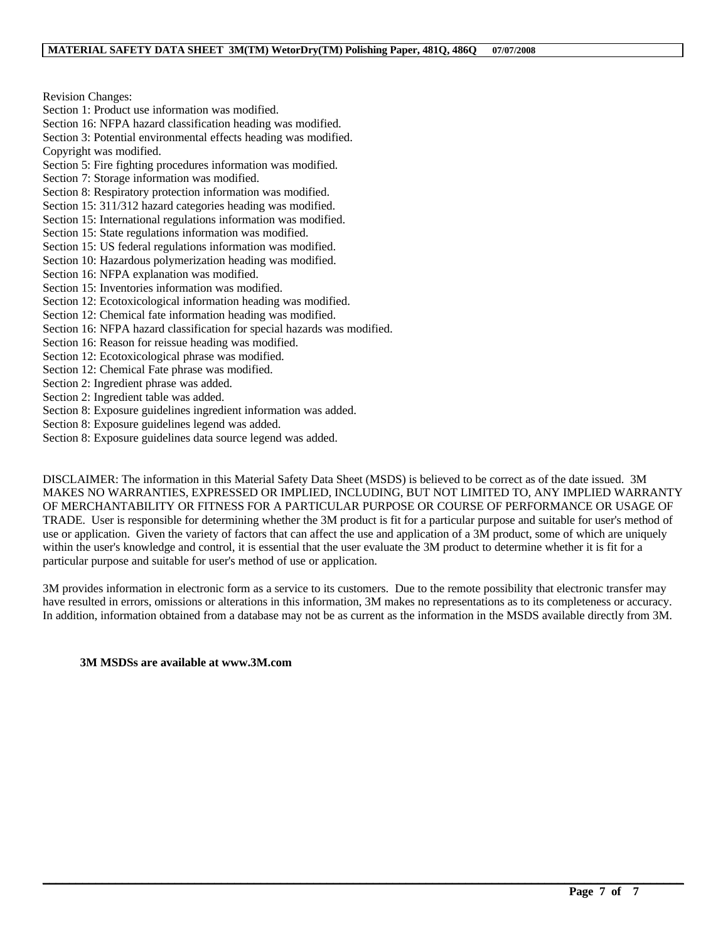Revision Changes:

Section 1: Product use information was modified.

Section 16: NFPA hazard classification heading was modified.

Section 3: Potential environmental effects heading was modified. Copyright was modified.

Section 5: Fire fighting procedures information was modified.

Section 7: Storage information was modified.

Section 8: Respiratory protection information was modified.

Section 15: 311/312 hazard categories heading was modified.

Section 15: International regulations information was modified.

- Section 15: State regulations information was modified.
- Section 15: US federal regulations information was modified.
- Section 10: Hazardous polymerization heading was modified.
- Section 16: NFPA explanation was modified.
- Section 15: Inventories information was modified.
- Section 12: Ecotoxicological information heading was modified.
- Section 12: Chemical fate information heading was modified.
- Section 16: NFPA hazard classification for special hazards was modified.
- Section 16: Reason for reissue heading was modified.
- Section 12: Ecotoxicological phrase was modified.
- Section 12: Chemical Fate phrase was modified.
- Section 2: Ingredient phrase was added.
- Section 2: Ingredient table was added.
- Section 8: Exposure guidelines ingredient information was added.
- Section 8: Exposure guidelines legend was added.
- Section 8: Exposure guidelines data source legend was added.

DISCLAIMER: The information in this Material Safety Data Sheet (MSDS) is believed to be correct as of the date issued. 3M MAKES NO WARRANTIES, EXPRESSED OR IMPLIED, INCLUDING, BUT NOT LIMITED TO, ANY IMPLIED WARRANTY OF MERCHANTABILITY OR FITNESS FOR A PARTICULAR PURPOSE OR COURSE OF PERFORMANCE OR USAGE OF TRADE. User is responsible for determining whether the 3M product is fit for a particular purpose and suitable for user's method of use or application. Given the variety of factors that can affect the use and application of a 3M product, some of which are uniquely within the user's knowledge and control, it is essential that the user evaluate the 3M product to determine whether it is fit for a particular purpose and suitable for user's method of use or application.

3M provides information in electronic form as a service to its customers. Due to the remote possibility that electronic transfer may have resulted in errors, omissions or alterations in this information, 3M makes no representations as to its completeness or accuracy. In addition, information obtained from a database may not be as current as the information in the MSDS available directly from 3M.

 $\mathcal{L}_\mathcal{L} = \mathcal{L}_\mathcal{L} = \mathcal{L}_\mathcal{L} = \mathcal{L}_\mathcal{L} = \mathcal{L}_\mathcal{L} = \mathcal{L}_\mathcal{L} = \mathcal{L}_\mathcal{L} = \mathcal{L}_\mathcal{L} = \mathcal{L}_\mathcal{L} = \mathcal{L}_\mathcal{L} = \mathcal{L}_\mathcal{L} = \mathcal{L}_\mathcal{L} = \mathcal{L}_\mathcal{L} = \mathcal{L}_\mathcal{L} = \mathcal{L}_\mathcal{L} = \mathcal{L}_\mathcal{L} = \mathcal{L}_\mathcal{L}$ 

#### **3M MSDSs are available at www.3M.com**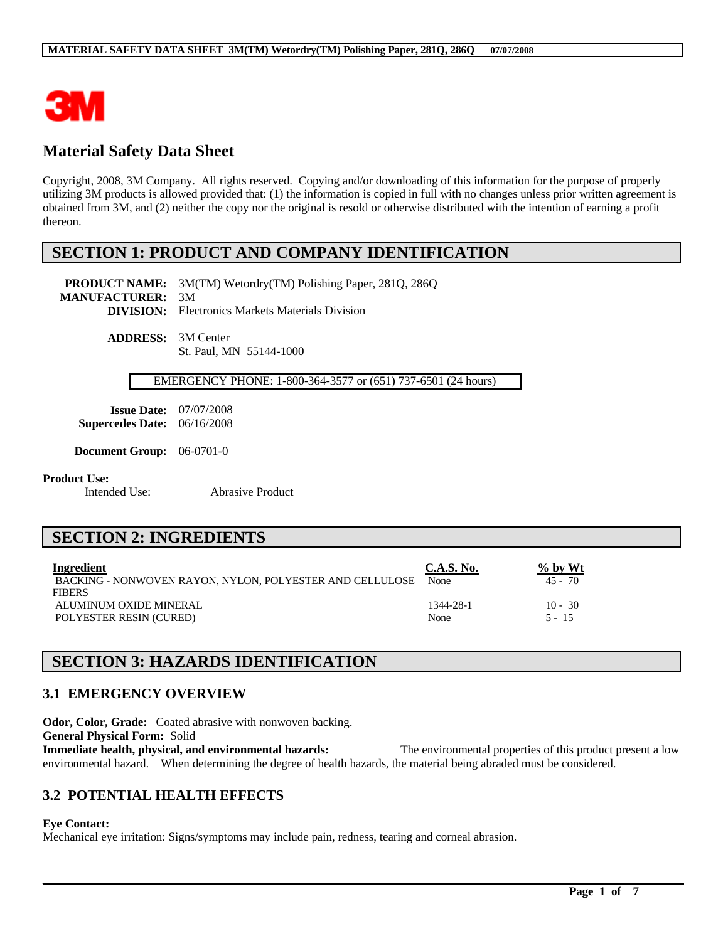

# **Material Safety Data Sheet**

Copyright, 2008, 3M Company. All rights reserved. Copying and/or downloading of this information for the purpose of properly utilizing 3M products is allowed provided that: (1) the information is copied in full with no changes unless prior written agreement is obtained from 3M, and (2) neither the copy nor the original is resold or otherwise distributed with the intention of earning a profit thereon.

# **SECTION 1: PRODUCT AND COMPANY IDENTIFICATION**

**PRODUCT NAME:** 3M(TM) Wetordry(TM) Polishing Paper, 281Q, 286Q **MANUFACTURER:** 3M **DIVISION:** Electronics Markets Materials Division

> **ADDRESS:** 3M Center St. Paul, MN 55144-1000

#### EMERGENCY PHONE: 1-800-364-3577 or (651) 737-6501 (24 hours)

**Issue Date:** 07/07/2008 **Supercedes Date:** 06/16/2008

**Document Group:** 06-0701-0

# **Product Use:**<br>Intended Use:

Abrasive Product

# **SECTION 2: INGREDIENTS**

| Ingredient                                               | C.A.S. No. | $\%$ by Wt |
|----------------------------------------------------------|------------|------------|
| BACKING - NONWOVEN RAYON, NYLON, POLYESTER AND CELLULOSE | None       | $45 - 70$  |
| <b>FIBERS</b>                                            |            |            |
| ALUMINUM OXIDE MINERAL                                   | 1344-28-1  | $10 - 30$  |
| POLYESTER RESIN (CURED)                                  | None       | $5 - 15$   |

# **SECTION 3: HAZARDS IDENTIFICATION**

### **3.1 EMERGENCY OVERVIEW**

**Odor, Color, Grade:** Coated abrasive with nonwoven backing. **General Physical Form:** Solid **Immediate health, physical, and environmental hazards:** The environmental properties of this product present a low environmental hazard. When determining the degree of health hazards, the material being abraded must be considered.

 $\mathcal{L}_\mathcal{L} = \mathcal{L}_\mathcal{L} = \mathcal{L}_\mathcal{L} = \mathcal{L}_\mathcal{L} = \mathcal{L}_\mathcal{L} = \mathcal{L}_\mathcal{L} = \mathcal{L}_\mathcal{L} = \mathcal{L}_\mathcal{L} = \mathcal{L}_\mathcal{L} = \mathcal{L}_\mathcal{L} = \mathcal{L}_\mathcal{L} = \mathcal{L}_\mathcal{L} = \mathcal{L}_\mathcal{L} = \mathcal{L}_\mathcal{L} = \mathcal{L}_\mathcal{L} = \mathcal{L}_\mathcal{L} = \mathcal{L}_\mathcal{L}$ 

### **3.2 POTENTIAL HEALTH EFFECTS**

**Eye Contact:**

Mechanical eye irritation: Signs/symptoms may include pain, redness, tearing and corneal abrasion.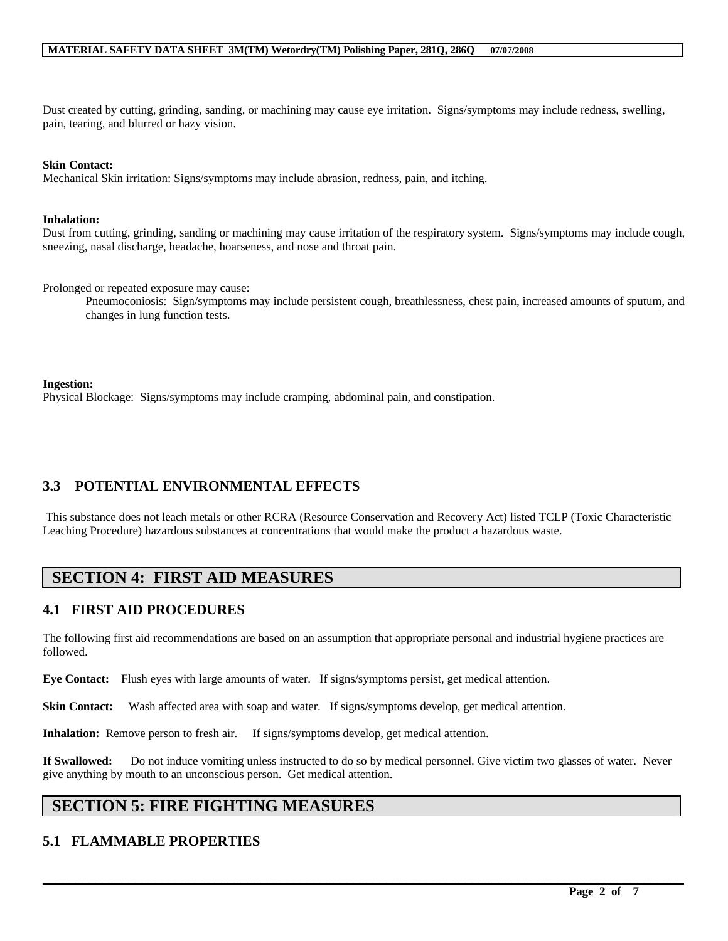Dust created by cutting, grinding, sanding, or machining may cause eye irritation. Signs/symptoms may include redness, swelling, pain, tearing, and blurred or hazy vision.

#### **Skin Contact:**

Mechanical Skin irritation: Signs/symptoms may include abrasion, redness, pain, and itching.

#### **Inhalation:**

Dust from cutting, grinding, sanding or machining may cause irritation of the respiratory system. Signs/symptoms may include cough, sneezing, nasal discharge, headache, hoarseness, and nose and throat pain.

Prolonged or repeated exposure may cause:

Pneumoconiosis: Sign/symptoms may include persistent cough, breathlessness, chest pain, increased amounts of sputum, and changes in lung function tests.

#### **Ingestion:**

Physical Blockage: Signs/symptoms may include cramping, abdominal pain, and constipation.

### **3.3 POTENTIAL ENVIRONMENTAL EFFECTS**

This substance does not leach metals or other RCRA (Resource Conservation and Recovery Act) listed TCLP (Toxic Characteristic Leaching Procedure) hazardous substances at concentrations that would make the product a hazardous waste.

# **SECTION 4: FIRST AID MEASURES**

### **4.1 FIRST AID PROCEDURES**

The following first aid recommendations are based on an assumption that appropriate personal and industrial hygiene practices are followed.

**Eye Contact:** Flush eyes with large amounts of water. If signs/symptoms persist, get medical attention.

**Skin Contact:** Wash affected area with soap and water. If signs/symptoms develop, get medical attention.

**Inhalation:** Remove person to fresh air. If signs/symptoms develop, get medical attention.

**If Swallowed:** Do not induce vomiting unless instructed to do so by medical personnel. Give victim two glasses of water. Never give anything by mouth to an unconscious person. Get medical attention.

 $\mathcal{L}_\mathcal{L} = \mathcal{L}_\mathcal{L} = \mathcal{L}_\mathcal{L} = \mathcal{L}_\mathcal{L} = \mathcal{L}_\mathcal{L} = \mathcal{L}_\mathcal{L} = \mathcal{L}_\mathcal{L} = \mathcal{L}_\mathcal{L} = \mathcal{L}_\mathcal{L} = \mathcal{L}_\mathcal{L} = \mathcal{L}_\mathcal{L} = \mathcal{L}_\mathcal{L} = \mathcal{L}_\mathcal{L} = \mathcal{L}_\mathcal{L} = \mathcal{L}_\mathcal{L} = \mathcal{L}_\mathcal{L} = \mathcal{L}_\mathcal{L}$ 

# **SECTION 5: FIRE FIGHTING MEASURES**

### **5.1 FLAMMABLE PROPERTIES**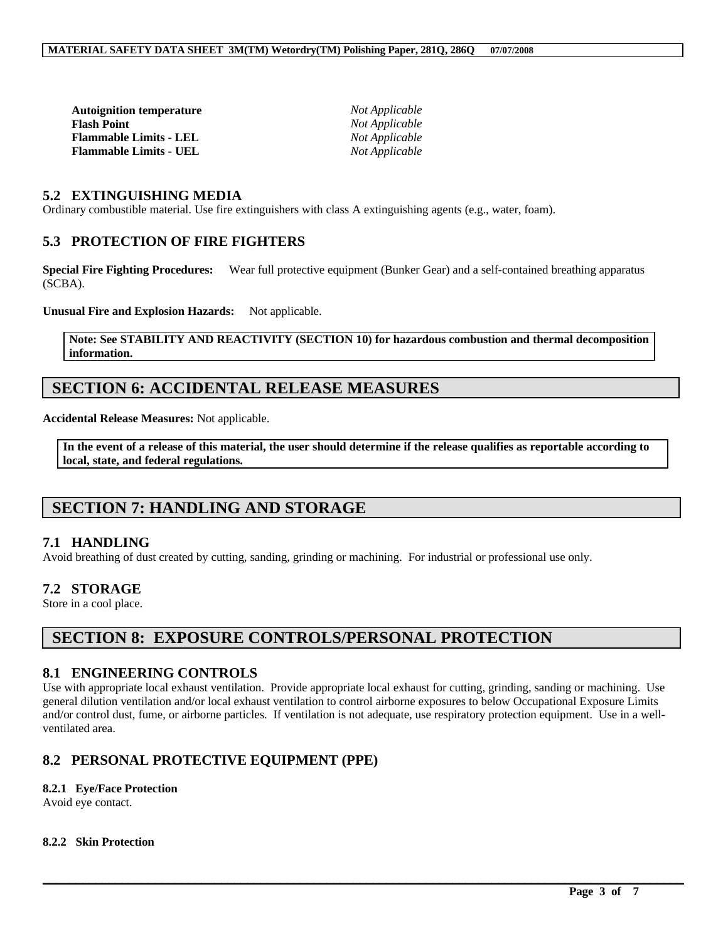| Not Applicable |
|----------------|
| Not Applicable |
| Not Applicable |
| Not Applicable |
|                |

### **5.2 EXTINGUISHING MEDIA**

Ordinary combustible material. Use fire extinguishers with class A extinguishing agents (e.g., water, foam).

### **5.3 PROTECTION OF FIRE FIGHTERS**

**Special Fire Fighting Procedures:** Wear full protective equipment (Bunker Gear) and a self-contained breathing apparatus (SCBA).

**Unusual Fire and Explosion Hazards:** Not applicable.

**Note: See STABILITY AND REACTIVITY (SECTION 10) for hazardous combustion and thermal decomposition information.**

## **SECTION 6: ACCIDENTAL RELEASE MEASURES**

**Accidental Release Measures:** Not applicable.

**In the event of a release of this material, the user should determine if the release qualifies as reportable according to local, state, and federal regulations.**

# **SECTION 7: HANDLING AND STORAGE**

### **7.1 HANDLING**

Avoid breathing of dust created by cutting, sanding, grinding or machining. For industrial or professional use only.

### **7.2 STORAGE**

Store in a cool place.

# **SECTION 8: EXPOSURE CONTROLS/PERSONAL PROTECTION**

### **8.1 ENGINEERING CONTROLS**

Use with appropriate local exhaust ventilation. Provide appropriate local exhaust for cutting, grinding, sanding or machining. Use general dilution ventilation and/or local exhaust ventilation to control airborne exposures to below Occupational Exposure Limits and/or control dust, fume, or airborne particles. If ventilation is not adequate, use respiratory protection equipment. Use in a wellventilated area.

 $\mathcal{L}_\mathcal{L} = \mathcal{L}_\mathcal{L} = \mathcal{L}_\mathcal{L} = \mathcal{L}_\mathcal{L} = \mathcal{L}_\mathcal{L} = \mathcal{L}_\mathcal{L} = \mathcal{L}_\mathcal{L} = \mathcal{L}_\mathcal{L} = \mathcal{L}_\mathcal{L} = \mathcal{L}_\mathcal{L} = \mathcal{L}_\mathcal{L} = \mathcal{L}_\mathcal{L} = \mathcal{L}_\mathcal{L} = \mathcal{L}_\mathcal{L} = \mathcal{L}_\mathcal{L} = \mathcal{L}_\mathcal{L} = \mathcal{L}_\mathcal{L}$ 

### **8.2 PERSONAL PROTECTIVE EQUIPMENT (PPE)**

#### **8.2.1 Eye/Face Protection**

Avoid eye contact.

#### **8.2.2 Skin Protection**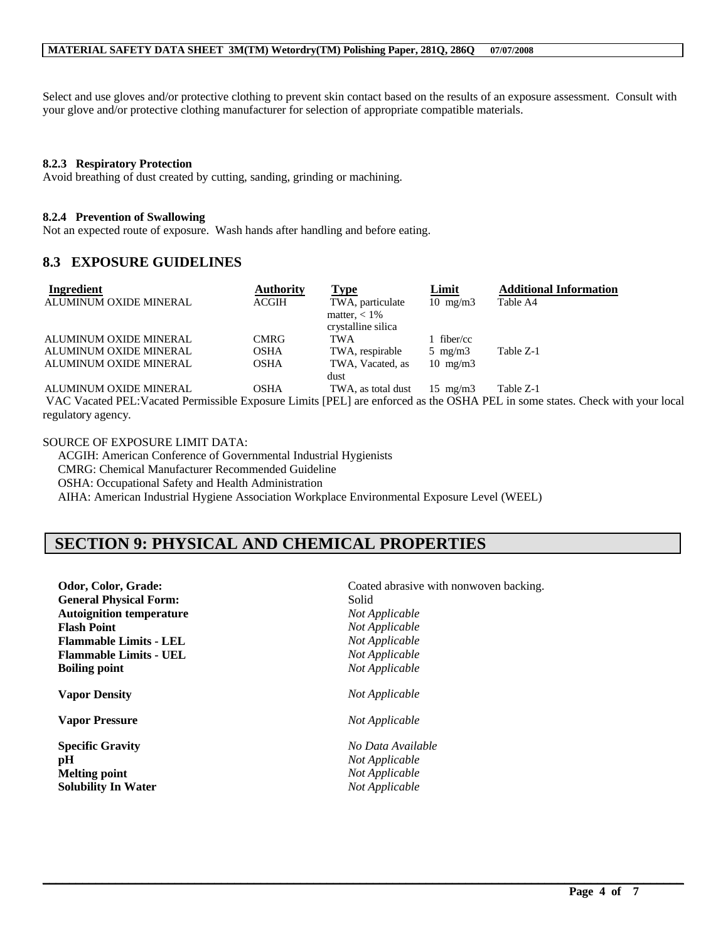Select and use gloves and/or protective clothing to prevent skin contact based on the results of an exposure assessment. Consult with your glove and/or protective clothing manufacturer for selection of appropriate compatible materials.

#### **8.2.3 Respiratory Protection**

Avoid breathing of dust created by cutting, sanding, grinding or machining.

#### **8.2.4 Prevention of Swallowing**

Not an expected route of exposure. Wash hands after handling and before eating.

### **8.3 EXPOSURE GUIDELINES**

| Ingredient             | Authority   | Type               | <u>Limit</u>      | <b>Additional Information</b> |
|------------------------|-------------|--------------------|-------------------|-------------------------------|
| ALUMINUM OXIDE MINERAL | ACGIH       | TWA, particulate   | $10 \text{ mg/m}$ | Table A4                      |
|                        |             | matter, $< 1\%$    |                   |                               |
|                        |             | crystalline silica |                   |                               |
| ALUMINUM OXIDE MINERAL | <b>CMRG</b> | TWA                | fiber/cc          |                               |
| ALUMINUM OXIDE MINERAL | <b>OSHA</b> | TWA, respirable    | 5 mg/m $3$        | Table Z-1                     |
| ALUMINUM OXIDE MINERAL | <b>OSHA</b> | TWA, Vacated, as   | $10 \text{ mg/m}$ |                               |
|                        |             | dust               |                   |                               |
| ALUMINUM OXIDE MINERAL | <b>OSHA</b> | TWA, as total dust | $15 \text{ mg/m}$ | Table Z-1                     |

VAC Vacated PEL:Vacated Permissible Exposure Limits [PEL] are enforced as the OSHA PEL in some states. Check with your local regulatory agency.

 $\mathcal{L}_\mathcal{L} = \mathcal{L}_\mathcal{L} = \mathcal{L}_\mathcal{L} = \mathcal{L}_\mathcal{L} = \mathcal{L}_\mathcal{L} = \mathcal{L}_\mathcal{L} = \mathcal{L}_\mathcal{L} = \mathcal{L}_\mathcal{L} = \mathcal{L}_\mathcal{L} = \mathcal{L}_\mathcal{L} = \mathcal{L}_\mathcal{L} = \mathcal{L}_\mathcal{L} = \mathcal{L}_\mathcal{L} = \mathcal{L}_\mathcal{L} = \mathcal{L}_\mathcal{L} = \mathcal{L}_\mathcal{L} = \mathcal{L}_\mathcal{L}$ 

SOURCE OF EXPOSURE LIMIT DATA:

ACGIH: American Conference of Governmental Industrial Hygienists

CMRG: Chemical Manufacturer Recommended Guideline

OSHA: Occupational Safety and Health Administration

AIHA: American Industrial Hygiene Association Workplace Environmental Exposure Level (WEEL)

# **SECTION 9: PHYSICAL AND CHEMICAL PROPERTIES**

| Odor, Color, Grade:                                                                 | Coated abrasive with nonwoven backing.                                  |  |
|-------------------------------------------------------------------------------------|-------------------------------------------------------------------------|--|
| <b>General Physical Form:</b>                                                       | Solid                                                                   |  |
| <b>Autoignition temperature</b>                                                     | Not Applicable                                                          |  |
| <b>Flash Point</b>                                                                  | Not Applicable                                                          |  |
| <b>Flammable Limits - LEL</b>                                                       | Not Applicable                                                          |  |
| <b>Flammable Limits - UEL</b>                                                       | Not Applicable                                                          |  |
| <b>Boiling point</b>                                                                | Not Applicable                                                          |  |
| <b>Vapor Density</b>                                                                | Not Applicable                                                          |  |
| <b>Vapor Pressure</b>                                                               | Not Applicable                                                          |  |
| <b>Specific Gravity</b><br>pH<br><b>Melting point</b><br><b>Solubility In Water</b> | No Data Available<br>Not Applicable<br>Not Applicable<br>Not Applicable |  |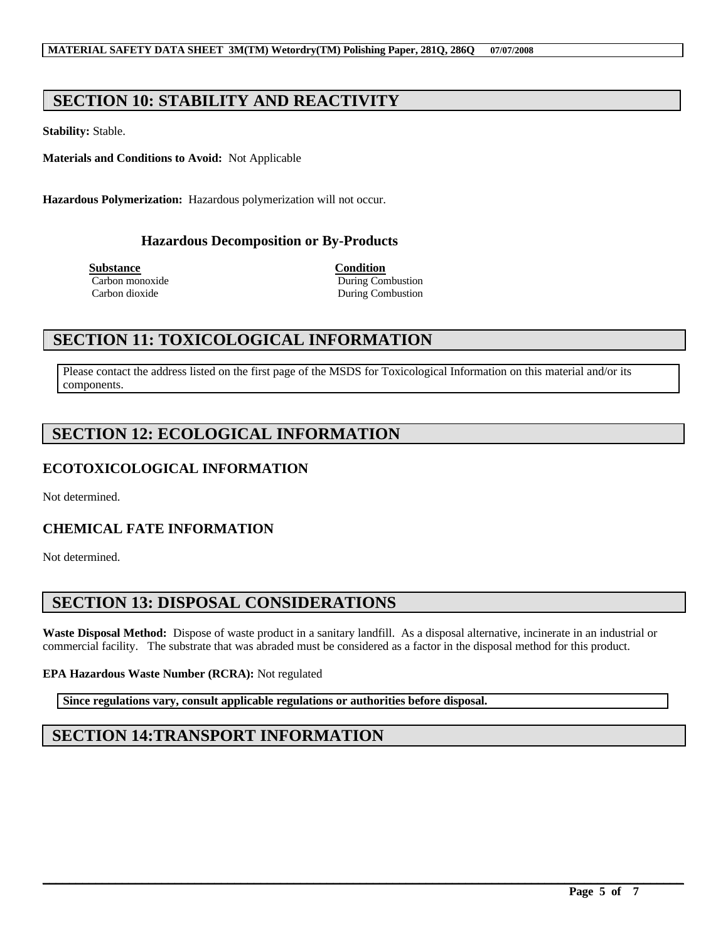# **SECTION 10: STABILITY AND REACTIVITY**

**Stability:** Stable.

**Materials and Conditions to Avoid:** Not Applicable

**Hazardous Polymerization:** Hazardous polymerization will not occur.

### **Hazardous Decomposition or By-Products**

**Substance Condition**

Carbon monoxide During Combustion Carbon dioxide During Combustion

# **SECTION 11: TOXICOLOGICAL INFORMATION**

Please contact the address listed on the first page of the MSDS for Toxicological Information on this material and/or its components.

# **SECTION 12: ECOLOGICAL INFORMATION**

### **ECOTOXICOLOGICAL INFORMATION**

Not determined.

### **CHEMICAL FATE INFORMATION**

Not determined.

# **SECTION 13: DISPOSAL CONSIDERATIONS**

**Waste Disposal Method:** Dispose of waste product in a sanitary landfill. As a disposal alternative, incinerate in an industrial or commercial facility. The substrate that was abraded must be considered as a factor in the disposal method for this product.

 $\mathcal{L}_\mathcal{L} = \mathcal{L}_\mathcal{L} = \mathcal{L}_\mathcal{L} = \mathcal{L}_\mathcal{L} = \mathcal{L}_\mathcal{L} = \mathcal{L}_\mathcal{L} = \mathcal{L}_\mathcal{L} = \mathcal{L}_\mathcal{L} = \mathcal{L}_\mathcal{L} = \mathcal{L}_\mathcal{L} = \mathcal{L}_\mathcal{L} = \mathcal{L}_\mathcal{L} = \mathcal{L}_\mathcal{L} = \mathcal{L}_\mathcal{L} = \mathcal{L}_\mathcal{L} = \mathcal{L}_\mathcal{L} = \mathcal{L}_\mathcal{L}$ 

### **EPA Hazardous Waste Number (RCRA):** Not regulated

**Since regulations vary, consult applicable regulations or authorities before disposal.**

# **SECTION 14:TRANSPORT INFORMATION**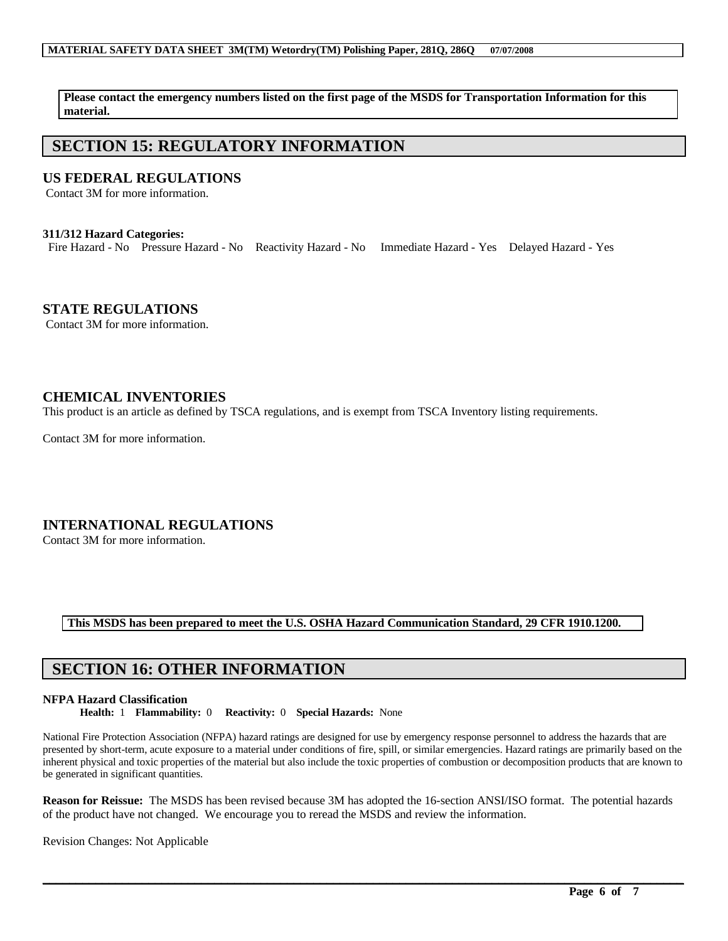**Please contact the emergency numbers listed on the first page of the MSDS for Transportation Information for this material.**

# **SECTION 15: REGULATORY INFORMATION**

### **US FEDERAL REGULATIONS**

Contact 3M for more information.

### **311/312 Hazard Categories:**

Fire Hazard - No Pressure Hazard - No Reactivity Hazard - No Immediate Hazard - Yes Delayed Hazard - Yes

**STATE REGULATIONS**

Contact 3M for more information.

### **CHEMICAL INVENTORIES**

This product is an article as defined by TSCA regulations, and is exempt from TSCA Inventory listing requirements.

Contact 3M for more information.

### **INTERNATIONAL REGULATIONS**

Contact 3M for more information.

**This MSDS has been prepared to meet the U.S. OSHA Hazard Communication Standard, 29 CFR 1910.1200.**

# **SECTION 16: OTHER INFORMATION**

### **NFPA Hazard Classification**

**Health:** 1 **Flammability:** 0 **Reactivity:** 0 **Special Hazards:** None

National Fire Protection Association (NFPA) hazard ratings are designed for use by emergency response personnel to address the hazards that are presented by short-term, acute exposure to a material under conditions of fire, spill, or similar emergencies. Hazard ratings are primarily based on the inherent physical and toxic properties of the material but also include the toxic properties of combustion or decomposition products that are known to be generated in significant quantities.

**Reason for Reissue:** The MSDS has been revised because 3M has adopted the 16-section ANSI/ISO format. The potential hazards of the product have not changed. We encourage you to reread the MSDS and review the information.

 $\mathcal{L}_\mathcal{L} = \mathcal{L}_\mathcal{L} = \mathcal{L}_\mathcal{L} = \mathcal{L}_\mathcal{L} = \mathcal{L}_\mathcal{L} = \mathcal{L}_\mathcal{L} = \mathcal{L}_\mathcal{L} = \mathcal{L}_\mathcal{L} = \mathcal{L}_\mathcal{L} = \mathcal{L}_\mathcal{L} = \mathcal{L}_\mathcal{L} = \mathcal{L}_\mathcal{L} = \mathcal{L}_\mathcal{L} = \mathcal{L}_\mathcal{L} = \mathcal{L}_\mathcal{L} = \mathcal{L}_\mathcal{L} = \mathcal{L}_\mathcal{L}$ 

Revision Changes: Not Applicable